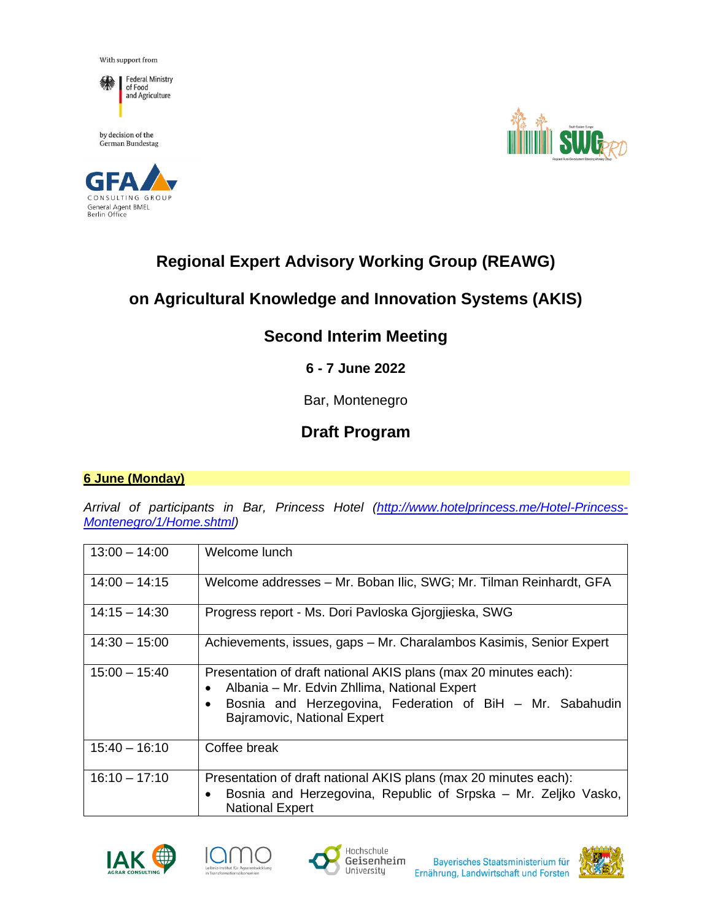With support from



by decision of the  $% \left\vert \cdot \right\rangle$ German Bundestag





# **Regional Expert Advisory Working Group (REAWG)**

## **on Agricultural Knowledge and Innovation Systems (AKIS)**

### **Second Interim Meeting**

### **6 - 7 June 2022**

Bar, Montenegro

## **Draft Program**

#### **6 June (Monday)**

*Arrival of participants in Bar, Princess Hotel [\(http://www.hotelprincess.me/Hotel-Princess-](http://www.hotelprincess.me/Hotel-Princess-Montenegro/1/Home.shtml)[Montenegro/1/Home.shtml\)](http://www.hotelprincess.me/Hotel-Princess-Montenegro/1/Home.shtml)*

| $13:00 - 14:00$ | Welcome lunch                                                                                                                                                                                                |
|-----------------|--------------------------------------------------------------------------------------------------------------------------------------------------------------------------------------------------------------|
| $14:00 - 14:15$ | Welcome addresses – Mr. Boban Ilic, SWG; Mr. Tilman Reinhardt, GFA                                                                                                                                           |
| $14:15 - 14:30$ | Progress report - Ms. Dori Pavloska Gjorgjieska, SWG                                                                                                                                                         |
| $14:30 - 15:00$ | Achievements, issues, gaps - Mr. Charalambos Kasimis, Senior Expert                                                                                                                                          |
| $15:00 - 15:40$ | Presentation of draft national AKIS plans (max 20 minutes each):<br>Albania – Mr. Edvin Zhllima, National Expert<br>Bosnia and Herzegovina, Federation of BiH - Mr. Sabahudin<br>Bajramovic, National Expert |
| $15:40 - 16:10$ | Coffee break                                                                                                                                                                                                 |
| $16:10 - 17:10$ | Presentation of draft national AKIS plans (max 20 minutes each):<br>Bosnia and Herzegovina, Republic of Srpska - Mr. Zeljko Vasko,<br>$\bullet$<br><b>National Expert</b>                                    |